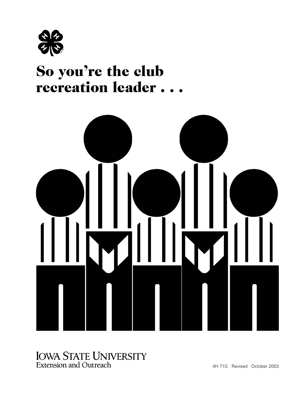

# recreation leader . . . So you're the club



#### **IOWA STATE UNIVERSITY Extension and Outreach** 4H 71G Revised October 2003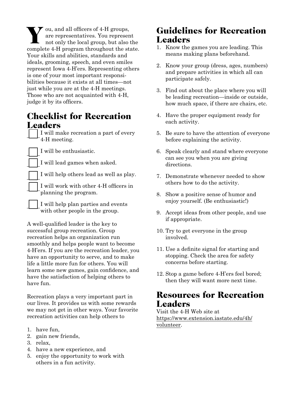V ou, and all officers of 4-H groups,<br>are representatives. You represent<br>not only the local group, but also are representatives. You represent not only the local group, but also the complete 4-H program throughout the state. Your skills and abilities, standards and ideals, grooming, speech, and even smiles represent Iowa 4-H'ers. Representing others is one of your most important responsibilities because it exists at all times—not just while you are at the 4-H meetings. Those who are not acquainted with 4-H, judge it by its officers.

#### Checklist for Recreation **Leaders**

I will make recreation a part of every 4-H meeting.

I will be enthusiastic.

I will lead games when asked.

I will help others lead as well as play.

I will work with other 4-H officers in planning the program.

I will help plan parties and events with other people in the group.

A well-qualified leader is the key to successful group recreation. Group recreation helps an organization run smoothly and helps people want to become 4-H'ers. If you are the recreation leader, you have an opportunity to serve, and to make life a little more fun for others. You will learn some new games, gain confidence, and have the satisfaction of helping others to have fun.

Recreation plays a very important part in our lives. It provides us with some rewards we may not get in other ways. Your favorite recreation activities can help others to

- 1. have fun,
- 2. gain new friends,
- 3. relax,
- 4. have a new experience, and
- 5. enjoy the opportunity to work with others in a fun activity.

# Guidelines for Recreation Leaders

- 1. Know the games you are leading. This means making plans beforehand.
- 2. Know your group (dress, ages, numbers) and prepare activities in which all can participate safely.
- 3. Find out about the place where you will be leading recreation—inside or outside, how much space, if there are chairs, etc.
- 4. Have the proper equipment ready for each activity.
- 5. Be sure to have the attention of everyone before explaining the activity.
- 6. Speak clearly and stand where everyone can see you when you are giving directions.
- 7. Demonstrate whenever needed to show others how to do the activity.
- 8. Show a positive sense of humor and enjoy yourself. (Be enthusiastic!)
- 9. Accept ideas from other people, and use if appropriate.
- 10. Try to get everyone in the group involved.
- 11. Use a definite signal for starting and stopping. Check the area for safety concerns before starting.
- 12. Stop a game before 4-H'ers feel bored; then they will want more next time.

## Resources for Recreation Leaders

Visit the 4-H Web site at [https://www.extension.iastate.edu/4h/](https://www.extension.iastate.edu/4h/volunteer) volunteer.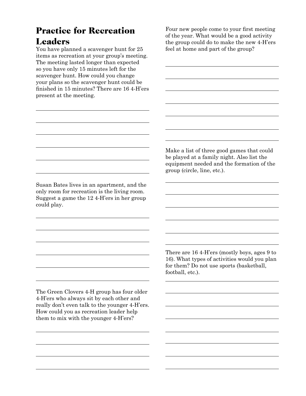# Practice for Recreation **Leaders**

You have planned a scavenger hunt for 25 items as recreation at your group's meeting. The meeting lasted longer than expected so you have only 15 minutes left for the scavenger hunt. How could you change your plans so the scavenger hunt could be finished in 15 minutes? There are 16 4-H'ers present at the meeting.

Four new people come to your first meeting of the year. What would be a good activity the group could do to make the new 4-H'ers feel at home and part of the group?

Susan Bates lives in an apartment, and the only room for recreation is the living room. Suggest a game the 12 4-H'ers in her group could play.

> There are 16 4-H'ers (mostly boys, ages 9 to 16). What types of activities would you plan for them? Do not use sports (basketball, football, etc.).

The Green Clovers 4-H group has four older 4-H'ers who always sit by each other and really don't even talk to the younger 4-H'ers. How could you as recreation leader help them to mix with the younger 4-H'ers?

Make a list of three good games that could be played at a family night. Also list the equipment needed and the formation of the

group (circle, line, etc.).